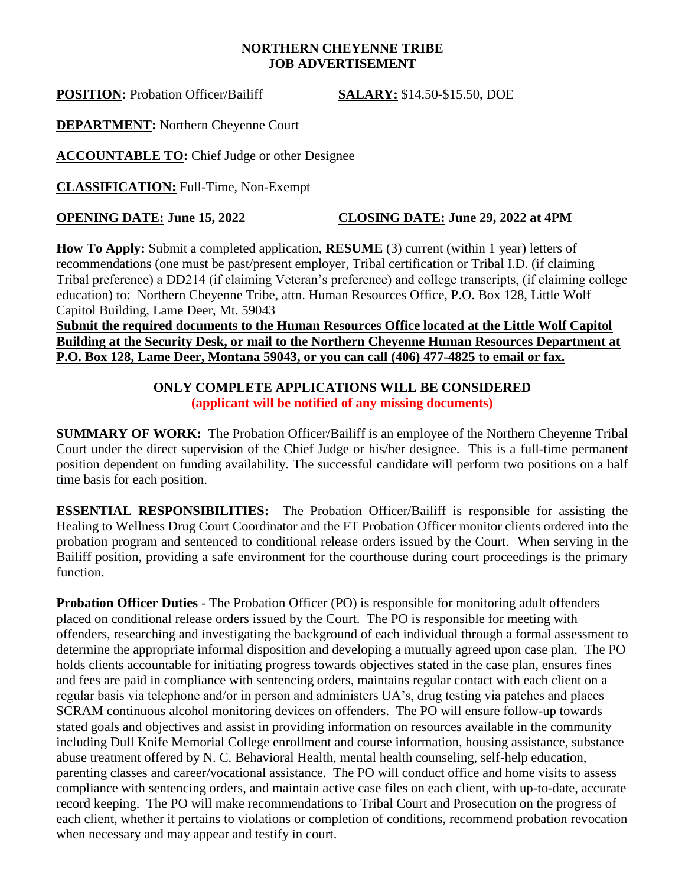#### **NORTHERN CHEYENNE TRIBE JOB ADVERTISEMENT**

**POSITION:** Probation Officer/Bailiff **SALARY:** \$14.50-\$15.50, DOE

**DEPARTMENT:** Northern Cheyenne Court

**ACCOUNTABLE TO:** Chief Judge or other Designee

**CLASSIFICATION:** Full-Time, Non-Exempt

## **OPENING DATE: June 15, 2022 CLOSING DATE: June 29, 2022 at 4PM**

**How To Apply:** Submit a completed application, **RESUME** (3) current (within 1 year) letters of recommendations (one must be past/present employer, Tribal certification or Tribal I.D. (if claiming Tribal preference) a DD214 (if claiming Veteran's preference) and college transcripts, (if claiming college education) to: Northern Cheyenne Tribe, attn. Human Resources Office, P.O. Box 128, Little Wolf Capitol Building, Lame Deer, Mt. 59043

### **Submit the required documents to the Human Resources Office located at the Little Wolf Capitol Building at the Security Desk, or mail to the Northern Cheyenne Human Resources Department at P.O. Box 128, Lame Deer, Montana 59043, or you can call (406) 477-4825 to email or fax.**

## **ONLY COMPLETE APPLICATIONS WILL BE CONSIDERED (applicant will be notified of any missing documents)**

**SUMMARY OF WORK:** The Probation Officer/Bailiff is an employee of the Northern Cheyenne Tribal Court under the direct supervision of the Chief Judge or his/her designee. This is a full-time permanent position dependent on funding availability. The successful candidate will perform two positions on a half time basis for each position.

**ESSENTIAL RESPONSIBILITIES:** The Probation Officer/Bailiff is responsible for assisting the Healing to Wellness Drug Court Coordinator and the FT Probation Officer monitor clients ordered into the probation program and sentenced to conditional release orders issued by the Court. When serving in the Bailiff position, providing a safe environment for the courthouse during court proceedings is the primary function.

**Probation Officer Duties** - The Probation Officer (PO) is responsible for monitoring adult offenders placed on conditional release orders issued by the Court. The PO is responsible for meeting with offenders, researching and investigating the background of each individual through a formal assessment to determine the appropriate informal disposition and developing a mutually agreed upon case plan. The PO holds clients accountable for initiating progress towards objectives stated in the case plan, ensures fines and fees are paid in compliance with sentencing orders, maintains regular contact with each client on a regular basis via telephone and/or in person and administers UA's, drug testing via patches and places SCRAM continuous alcohol monitoring devices on offenders. The PO will ensure follow-up towards stated goals and objectives and assist in providing information on resources available in the community including Dull Knife Memorial College enrollment and course information, housing assistance, substance abuse treatment offered by N. C. Behavioral Health, mental health counseling, self-help education, parenting classes and career/vocational assistance. The PO will conduct office and home visits to assess compliance with sentencing orders, and maintain active case files on each client, with up-to-date, accurate record keeping. The PO will make recommendations to Tribal Court and Prosecution on the progress of each client, whether it pertains to violations or completion of conditions, recommend probation revocation when necessary and may appear and testify in court.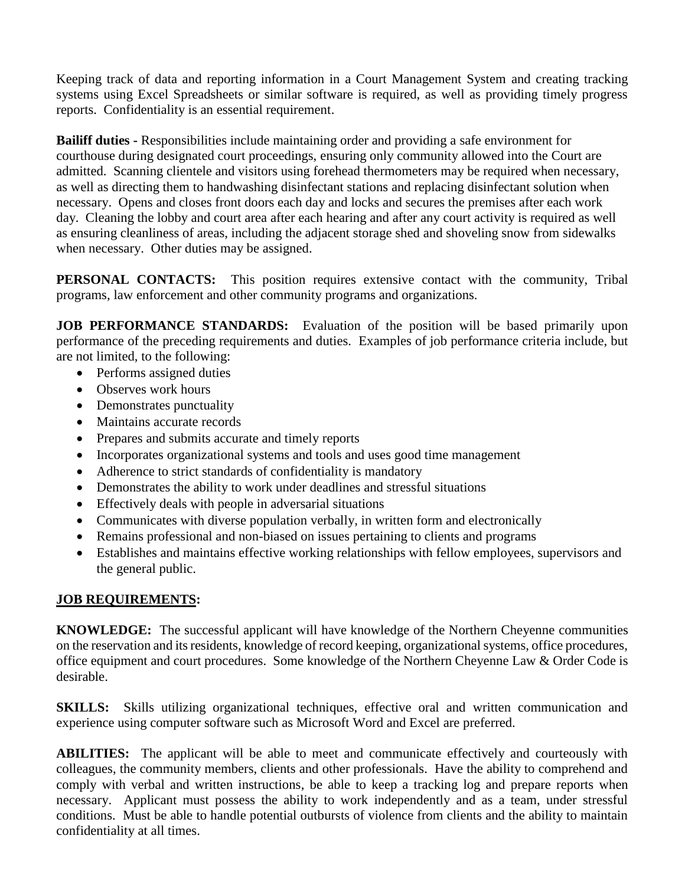Keeping track of data and reporting information in a Court Management System and creating tracking systems using Excel Spreadsheets or similar software is required, as well as providing timely progress reports. Confidentiality is an essential requirement.

**Bailiff duties -** Responsibilities include maintaining order and providing a safe environment for courthouse during designated court proceedings, ensuring only community allowed into the Court are admitted. Scanning clientele and visitors using forehead thermometers may be required when necessary, as well as directing them to handwashing disinfectant stations and replacing disinfectant solution when necessary. Opens and closes front doors each day and locks and secures the premises after each work day. Cleaning the lobby and court area after each hearing and after any court activity is required as well as ensuring cleanliness of areas, including the adjacent storage shed and shoveling snow from sidewalks when necessary. Other duties may be assigned.

**PERSONAL CONTACTS:** This position requires extensive contact with the community, Tribal programs, law enforcement and other community programs and organizations.

**JOB PERFORMANCE STANDARDS:** Evaluation of the position will be based primarily upon performance of the preceding requirements and duties. Examples of job performance criteria include, but are not limited, to the following:

- Performs assigned duties
- Observes work hours
- Demonstrates punctuality
- Maintains accurate records
- Prepares and submits accurate and timely reports
- Incorporates organizational systems and tools and uses good time management
- Adherence to strict standards of confidentiality is mandatory
- Demonstrates the ability to work under deadlines and stressful situations
- Effectively deals with people in adversarial situations
- Communicates with diverse population verbally, in written form and electronically
- Remains professional and non-biased on issues pertaining to clients and programs
- Establishes and maintains effective working relationships with fellow employees, supervisors and the general public.

# **JOB REQUIREMENTS:**

**KNOWLEDGE:** The successful applicant will have knowledge of the Northern Cheyenne communities on the reservation and its residents, knowledge of record keeping, organizational systems, office procedures, office equipment and court procedures. Some knowledge of the Northern Cheyenne Law & Order Code is desirable.

**SKILLS:** Skills utilizing organizational techniques, effective oral and written communication and experience using computer software such as Microsoft Word and Excel are preferred.

**ABILITIES:** The applicant will be able to meet and communicate effectively and courteously with colleagues, the community members, clients and other professionals. Have the ability to comprehend and comply with verbal and written instructions, be able to keep a tracking log and prepare reports when necessary. Applicant must possess the ability to work independently and as a team, under stressful conditions. Must be able to handle potential outbursts of violence from clients and the ability to maintain confidentiality at all times.